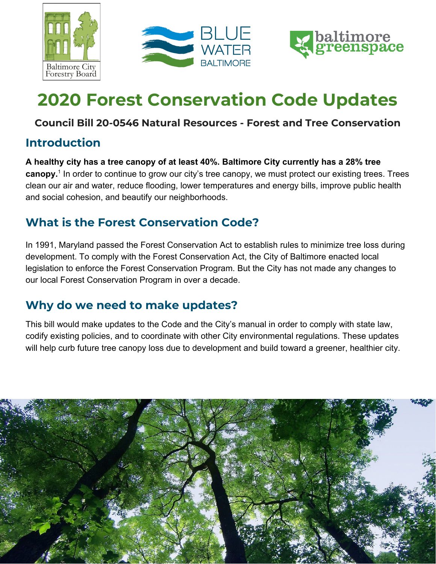





# **2020 Forest Conservation Code Updates**

### **Council Bill 20-0546 Natural Resources - Forest and Tree Conservation**

### **Introduction**

**A healthy city has a tree canopy of at least 40%. Baltimore City currently has a 28% tree canopy.**<sup>1</sup> In order to continue to grow our city's tree canopy, we must protect our existing trees. Trees clean our air and water, reduce flooding, lower temperatures and energy bills, improve public health and social cohesion, and beautify our neighborhoods.

## **What is the Forest Conservation Code?**

In 1991, Maryland passed the Forest Conservation Act to establish rules to minimize tree loss during development. To comply with the Forest Conservation Act, the City of Baltimore enacted local legislation to enforce the Forest Conservation Program. But the City has not made any changes to our local Forest Conservation Program in over a decade.

## **Why do we need to make updates?**

This bill would make updates to the Code and the City's manual in order to comply with state law, codify existing policies, and to coordinate with other City environmental regulations. These updates will help curb future tree canopy loss due to development and build toward a greener, healthier city.